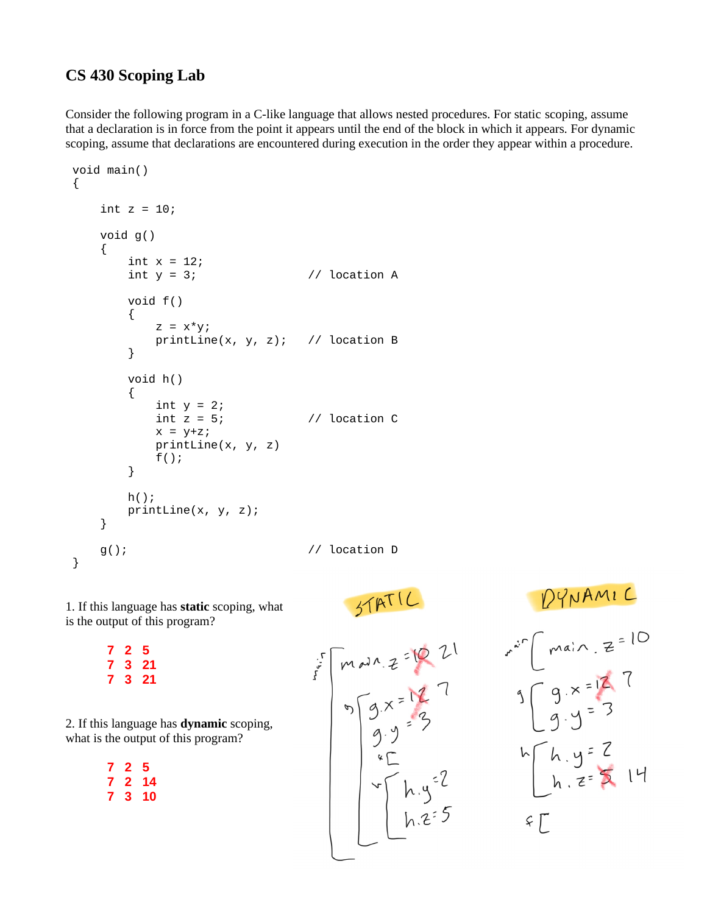## **CS 430 Scoping Lab**

**7 2 5 7 3 21 7 3 21**

**7 2 5 7 2 14 7 3 10**

Consider the following program in a C-like language that allows nested procedures. For static scoping, assume that a declaration is in force from the point it appears until the end of the block in which it appears. For dynamic scoping, assume that declarations are encountered during execution in the order they appear within a procedure.

```
 void main()
{
   int z = 10;
    void g()
    {
        int x = 12;<br>int y = 3;
                                    // location A
         void f()
         {
            z = x^*y; printLine(x, y, z); // location B
         }
        void h()
         {
            int y = 2;<br>int z = 5;
                                    // location Cx = y+z; printLine(x, y, z)
            f(); }
         h();
         printLine(x, y, z);
    }
    g(); // location D
}
```
 $D<sup>2</sup>NAM1C$ <br>  $r<sup>x</sup> C$   $main z = 10$   
\n $3 Cg \times 27$   
\n $9.9 = 3$ STATIC 1. If this language has **static** scoping, what is the output of this program?  $m_{m, z} = 127$ <br>  $S = 127$ <br>  $S = 127$ <br>  $S = 3$ <br>  $S = 2$ <br>  $S = 127$ <br>  $S = 127$ <br>  $S = 127$ <br>  $S = 127$ <br>  $S = 127$ <br>  $S = 127$ <br>  $S = 127$ <br>  $S = 127$ <br>  $S = 127$ <br>  $S = 127$ <br>  $S = 127$ <br>  $S = 127$ 2. If this language has **dynamic** scoping, what is the output of this program?  $h \left[ h \cdot y = \frac{7}{2} \right]$  $55$